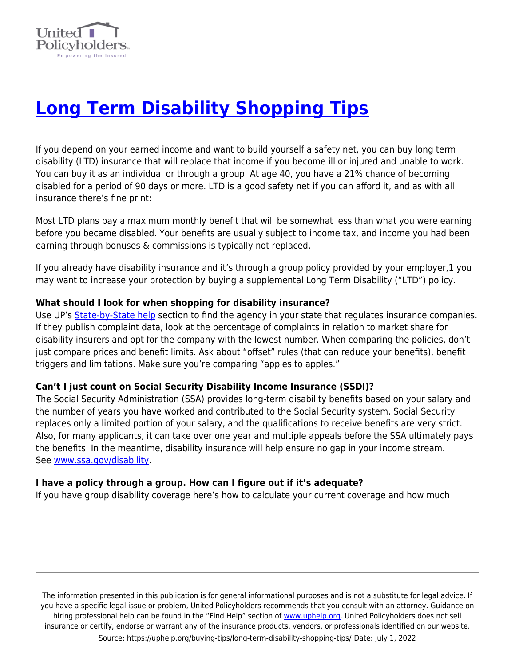

# **[Long Term Disability Shopping Tips](https://uphelp.org/buying-tips/long-term-disability-shopping-tips/)**

If you depend on your earned income and want to build yourself a safety net, you can buy long term disability (LTD) insurance that will replace that income if you become ill or injured and unable to work. You can buy it as an individual or through a group. At age 40, you have a 21% chance of becoming disabled for a period of 90 days or more. LTD is a good safety net if you can afford it, and as with all insurance there's fine print:

Most LTD plans pay a maximum monthly benefit that will be somewhat less than what you were earning before you became disabled. Your benefits are usually subject to income tax, and income you had been earning through bonuses & commissions is typically not replaced.

If you already have disability insurance and it's through a group policy provided by your employer,1 you may want to increase your protection by buying a supplemental Long Term Disability ("LTD") policy.

### **What should I look for when shopping for disability insurance?**

Use UP's [State-by-State help](http://www.uphelp.org/library/statebystate) section to find the agency in your state that regulates insurance companies. If they publish complaint data, look at the percentage of complaints in relation to market share for disability insurers and opt for the company with the lowest number. When comparing the policies, don't just compare prices and benefit limits. Ask about "offset" rules (that can reduce your benefits), benefit triggers and limitations. Make sure you're comparing "apples to apples."

### **Can't I just count on Social Security Disability Income Insurance (SSDI)?**

The Social Security Administration (SSA) provides long-term disability benefits based on your salary and the number of years you have worked and contributed to the Social Security system. Social Security replaces only a limited portion of your salary, and the qualifications to receive benefits are very strict. Also, for many applicants, it can take over one year and multiple appeals before the SSA ultimately pays the benefits. In the meantime, disability insurance will help ensure no gap in your income stream. See [www.ssa.gov/disability](http://www.ssa.gov/disability).

### **I have a policy through a group. How can I figure out if it's adequate?**

If you have group disability coverage here's how to calculate your current coverage and how much

The information presented in this publication is for general informational purposes and is not a substitute for legal advice. If you have a specific legal issue or problem, United Policyholders recommends that you consult with an attorney. Guidance on hiring professional help can be found in the "Find Help" section of [www.uphelp.org.](http://www.uphelp.org/) United Policyholders does not sell insurance or certify, endorse or warrant any of the insurance products, vendors, or professionals identified on our website. Source: https://uphelp.org/buying-tips/long-term-disability-shopping-tips/ Date: July 1, 2022